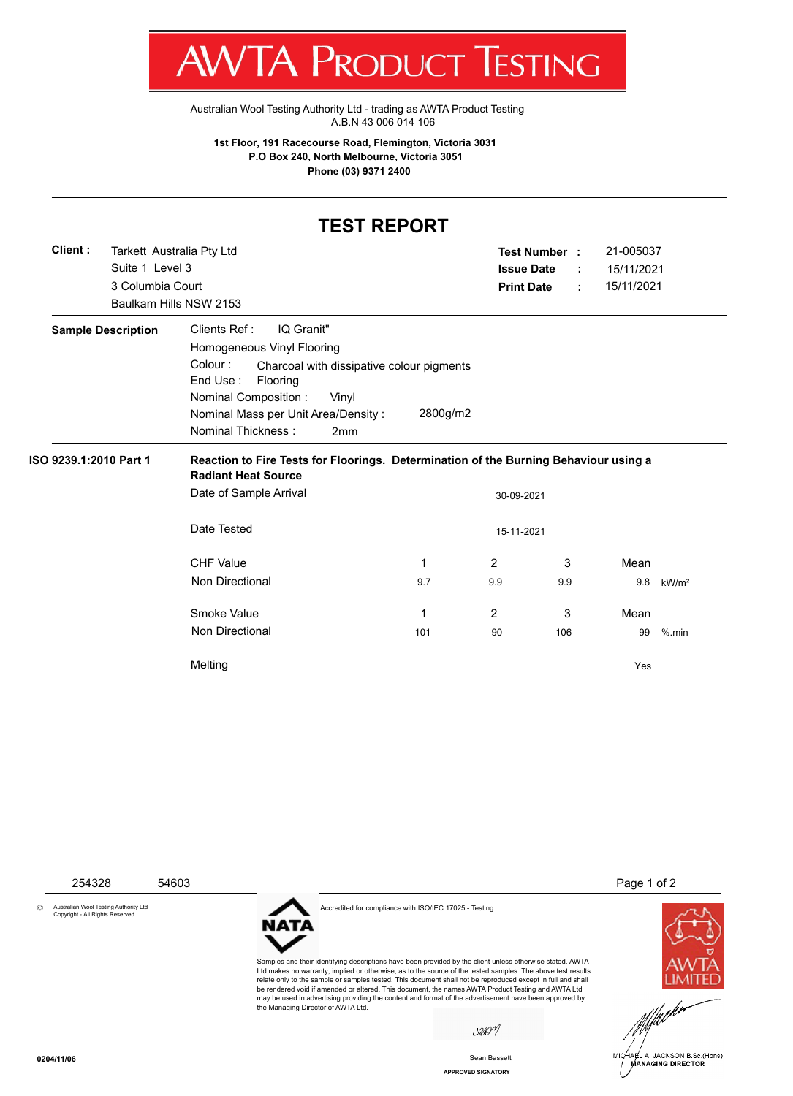T WV I/VI RUDUCT IESHING

[Australian Wool Testing Authority Ltd - trading as AWTA Product Testing](http://www.awtaproducttesting.com.au/) A.B.N 43 006 014 106

**1st Floor, 191 Racecourse Road, Flemington, Victoria 3031 P.O Box 240, North Melbourne, Victoria 3051 Phone (03) 9371 2400**

## **TEST REPORT**

| Client:<br>Tarkett Australia Pty Ltd |                                                                                                                    |          | Test Number :     |     | 21-005037  |                   |
|--------------------------------------|--------------------------------------------------------------------------------------------------------------------|----------|-------------------|-----|------------|-------------------|
| Suite 1 Level 3                      |                                                                                                                    |          | <b>Issue Date</b> | ÷   | 15/11/2021 |                   |
| 3 Columbia Court                     |                                                                                                                    |          | <b>Print Date</b> | ÷   | 15/11/2021 |                   |
|                                      | Baulkam Hills NSW 2153                                                                                             |          |                   |     |            |                   |
| <b>Sample Description</b>            | Clients Ref:<br>IQ Granit"                                                                                         |          |                   |     |            |                   |
|                                      | Homogeneous Vinyl Flooring                                                                                         |          |                   |     |            |                   |
|                                      | Colour:<br>Charcoal with dissipative colour pigments<br>End Use:<br>Flooring                                       |          |                   |     |            |                   |
|                                      | <b>Nominal Composition:</b><br>Vinyl                                                                               |          |                   |     |            |                   |
|                                      | Nominal Mass per Unit Area/Density:                                                                                | 2800g/m2 |                   |     |            |                   |
|                                      | <b>Nominal Thickness:</b><br>2mm                                                                                   |          |                   |     |            |                   |
|                                      |                                                                                                                    |          |                   |     |            |                   |
|                                      | Reaction to Fire Tests for Floorings. Determination of the Burning Behaviour using a<br><b>Radiant Heat Source</b> |          |                   |     |            |                   |
| ISO 9239.1:2010 Part 1               | Date of Sample Arrival                                                                                             |          | 30-09-2021        |     |            |                   |
|                                      | Date Tested                                                                                                        |          | 15-11-2021        |     |            |                   |
|                                      | <b>CHF Value</b>                                                                                                   | 1        | 2                 | 3   | Mean       |                   |
|                                      | Non Directional                                                                                                    | 9.7      | 9.9               | 9.9 | 9.8        | kW/m <sup>2</sup> |
|                                      | Smoke Value                                                                                                        | 1        | 2                 | 3   | Mean       |                   |
|                                      | Non Directional                                                                                                    | 101      | 90                | 106 | 99         | $%$ .min          |



**APPROVED SIGNATORY** Sean Bassett

MANAGING DIRECTOR